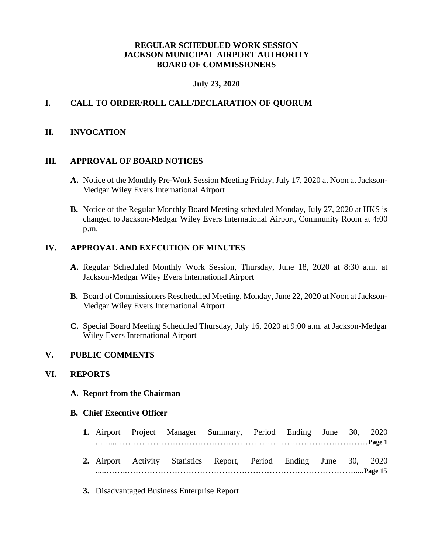## **REGULAR SCHEDULED WORK SESSION JACKSON MUNICIPAL AIRPORT AUTHORITY BOARD OF COMMISSIONERS**

## **July 23, 2020**

## **I. CALL TO ORDER/ROLL CALL/DECLARATION OF QUORUM**

## **II. INVOCATION**

#### **III. APPROVAL OF BOARD NOTICES**

- **A.** Notice of the Monthly Pre-Work Session Meeting Friday, July 17, 2020 at Noon at Jackson-Medgar Wiley Evers International Airport
- **B.** Notice of the Regular Monthly Board Meeting scheduled Monday, July 27, 2020 at HKS is changed to Jackson-Medgar Wiley Evers International Airport, Community Room at 4:00 p.m.

## **IV. APPROVAL AND EXECUTION OF MINUTES**

- **A.** Regular Scheduled Monthly Work Session, Thursday, June 18, 2020 at 8:30 a.m. at Jackson-Medgar Wiley Evers International Airport
- **B.** Board of Commissioners Rescheduled Meeting, Monday, June 22, 2020 at Noon at Jackson-Medgar Wiley Evers International Airport
- **C.** Special Board Meeting Scheduled Thursday, July 16, 2020 at 9:00 a.m. at Jackson-Medgar Wiley Evers International Airport

#### **V. PUBLIC COMMENTS**

#### **VI. REPORTS**

#### **A. Report from the Chairman**

#### **B. Chief Executive Officer**

|  |  |  | 1. Airport Project Manager Summary, Period Ending June 30, 2020    |  |  |  |  |  |
|--|--|--|--------------------------------------------------------------------|--|--|--|--|--|
|  |  |  |                                                                    |  |  |  |  |  |
|  |  |  | 2. Airport Activity Statistics Report, Period Ending June 30, 2020 |  |  |  |  |  |
|  |  |  |                                                                    |  |  |  |  |  |

**3.** Disadvantaged Business Enterprise Report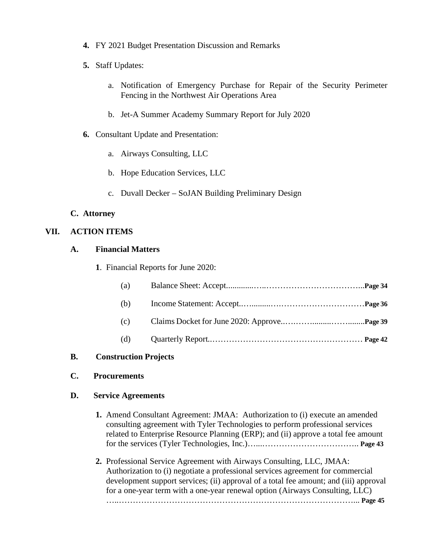- **4.** FY 2021 Budget Presentation Discussion and Remarks
- **5.** Staff Updates:
	- a. Notification of Emergency Purchase for Repair of the Security Perimeter Fencing in the Northwest Air Operations Area
	- b. Jet-A Summer Academy Summary Report for July 2020
- **6.** Consultant Update and Presentation:
	- a. Airways Consulting, LLC
	- b. Hope Education Services, LLC
	- c. Duvall Decker SoJAN Building Preliminary Design

## **C. Attorney**

## **VII. ACTION ITEMS**

## **A. Financial Matters**

**1**. Financial Reports for June 2020:

| (a) |  |
|-----|--|
| (b) |  |
| (c) |  |
| (d) |  |

## **B. Construction Projects**

## **C. Procurements**

## **D. Service Agreements**

- **1.** Amend Consultant Agreement: JMAA: Authorization to (i) execute an amended consulting agreement with Tyler Technologies to perform professional services related to Enterprise Resource Planning (ERP); and (ii) approve a total fee amount for the services (Tyler Technologies, Inc.)…...…………………………….. **Page 43**
- **2.** Professional Service Agreement with Airways Consulting, LLC, JMAA: Authorization to (i) negotiate a professional services agreement for commercial development support services; (ii) approval of a total fee amount; and (iii) approval for a one-year term with a one-year renewal option (Airways Consulting, LLC) …..…………………………………………………………………………... **Page 45**